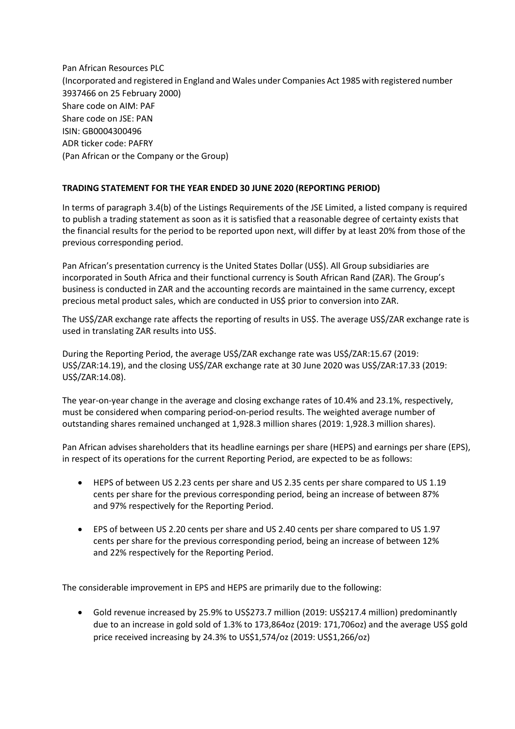Pan African Resources PLC (Incorporated and registered in England and Wales under Companies Act 1985 with registered number 3937466 on 25 February 2000) Share code on AIM: PAF Share code on JSE: PAN ISIN: GB0004300496 ADR ticker code: PAFRY (Pan African or the Company or the Group)

## **TRADING STATEMENT FOR THE YEAR ENDED 30 JUNE 2020 (REPORTING PERIOD)**

In terms of paragraph 3.4(b) of the Listings Requirements of the JSE Limited, a listed company is required to publish a trading statement as soon as it is satisfied that a reasonable degree of certainty exists that the financial results for the period to be reported upon next, will differ by at least 20% from those of the previous corresponding period.

Pan African's presentation currency is the United States Dollar (US\$). All Group subsidiaries are incorporated in South Africa and their functional currency is South African Rand (ZAR). The Group's business is conducted in ZAR and the accounting records are maintained in the same currency, except precious metal product sales, which are conducted in US\$ prior to conversion into ZAR.

The US\$/ZAR exchange rate affects the reporting of results in US\$. The average US\$/ZAR exchange rate is used in translating ZAR results into US\$.

During the Reporting Period, the average US\$/ZAR exchange rate was US\$/ZAR:15.67 (2019: US\$/ZAR:14.19), and the closing US\$/ZAR exchange rate at 30 June 2020 was US\$/ZAR:17.33 (2019: US\$/ZAR:14.08).

The year-on-year change in the average and closing exchange rates of 10.4% and 23.1%, respectively, must be considered when comparing period-on-period results. The weighted average number of outstanding shares remained unchanged at 1,928.3 million shares (2019: 1,928.3 million shares).

Pan African advises shareholders that its headline earnings per share (HEPS) and earnings per share (EPS), in respect of its operations for the current Reporting Period, are expected to be as follows:

- HEPS of between US 2.23 cents per share and US 2.35 cents per share compared to US 1.19 cents per share for the previous corresponding period, being an increase of between 87% and 97% respectively for the Reporting Period.
- EPS of between US 2.20 cents per share and US 2.40 cents per share compared to US 1.97 cents per share for the previous corresponding period, being an increase of between 12% and 22% respectively for the Reporting Period.

The considerable improvement in EPS and HEPS are primarily due to the following:

• Gold revenue increased by 25.9% to US\$273.7 million (2019: US\$217.4 million) predominantly due to an increase in gold sold of 1.3% to 173,864oz (2019: 171,706oz) and the average US\$ gold price received increasing by 24.3% to US\$1,574/oz (2019: US\$1,266/oz)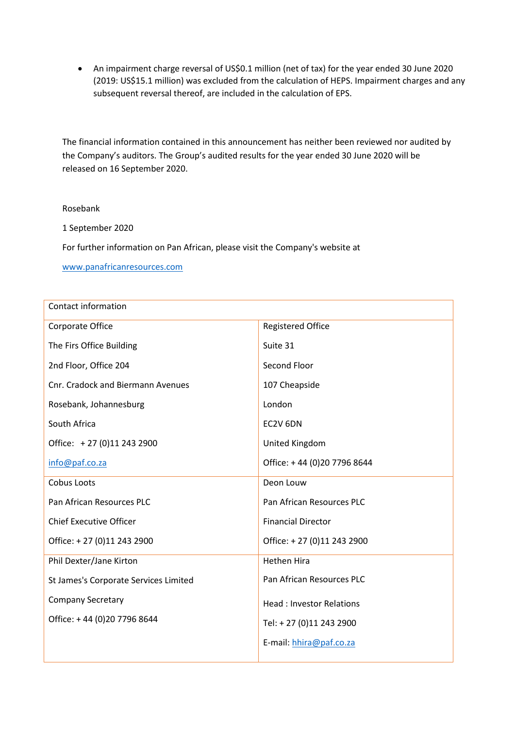• An impairment charge reversal of US\$0.1 million (net of tax) for the year ended 30 June 2020 (2019: US\$15.1 million) was excluded from the calculation of HEPS. Impairment charges and any subsequent reversal thereof, are included in the calculation of EPS.

The financial information contained in this announcement has neither been reviewed nor audited by the Company's auditors. The Group's audited results for the year ended 30 June 2020 will be released on 16 September 2020.

## Rosebank

1 September 2020

For further information on Pan African, please visit the Company's website at

[www.panafricanresources.com](http://www.panafricanresources.com/)

| Contact information                      |                                 |
|------------------------------------------|---------------------------------|
| Corporate Office                         | <b>Registered Office</b>        |
| The Firs Office Building                 | Suite 31                        |
| 2nd Floor, Office 204                    | Second Floor                    |
| <b>Cnr. Cradock and Biermann Avenues</b> | 107 Cheapside                   |
| Rosebank, Johannesburg                   | London                          |
| South Africa                             | EC2V 6DN                        |
| Office: +27 (0)11 243 2900               | United Kingdom                  |
| info@paf.co.za                           | Office: +44 (0)20 7796 8644     |
| Cobus Loots                              | Deon Louw                       |
| Pan African Resources PLC                | Pan African Resources PLC       |
| <b>Chief Executive Officer</b>           | <b>Financial Director</b>       |
| Office: +27 (0)11 243 2900               | Office: +27 (0)11 243 2900      |
| Phil Dexter/Jane Kirton                  | <b>Hethen Hira</b>              |
| St James's Corporate Services Limited    | Pan African Resources PLC       |
| <b>Company Secretary</b>                 | <b>Head: Investor Relations</b> |
| Office: +44 (0)20 7796 8644              | Tel: +27 (0)11 243 2900         |
|                                          | E-mail: hhira@paf.co.za         |